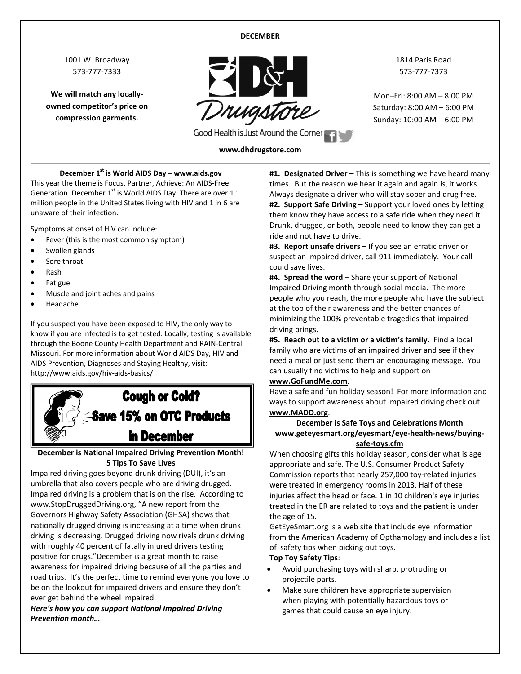#### **DECEMBER**

1001 W. Broadway 573-777-7333

**We will match any locallyowned competitor's price on compression garments.**



1814 Paris Road 573-777-7373

Mon–Fri: 8:00 AM – 8:00 PM Saturday: 8:00 AM – 6:00 PM Sunday: 10:00 AM – 6:00 PM

# **www.dhdrugstore.com**

**December 1st is World AIDS Day – www.aids.gov**

This year the theme is Focus, Partner, Achieve: An AIDS-Free Generation. December  $1^{st}$  is World AIDS Day. There are over 1.1 million people in the United States living with HIV and 1 in 6 are unaware of their infection.

Symptoms at onset of HIV can include:

- Fever (this is the most common symptom)
- Swollen glands
- Sore throat
- Rash
- Fatigue
- Muscle and joint aches and pains
- Headache

If you suspect you have been exposed to HIV, the only way to know if you are infected is to get tested. Locally, testing is available through the Boone County Health Department and RAIN-Central Missouri. For more information about World AIDS Day, HIV and AIDS Prevention, Diagnoses and Staying Healthy, visit: http://www.aids.gov/hiv-aids-basics/



**December is National Impaired Driving Prevention Month! 5 Tips To Save Lives**

Impaired driving goes beyond drunk driving (DUI), it's an umbrella that also covers people who are driving drugged. Impaired driving is a problem that is on the rise. According to www.StopDruggedDriving.org, "A new [report](http://www.ghsa.org/html/publications/2015drugged.html) from the Governors Highway Safety Association (GHSA) shows that nationally drugged driving is increasing at a time when drunk driving is decreasing. Drugged driving now rivals drunk driving with roughly 40 percent of fatally injured drivers testing positive for drugs."December is a great month to raise awareness for impaired driving because of all the parties and road trips. It's the perfect time to remind everyone you love to be on the lookout for impaired drivers and ensure they don't ever get behind the wheel impaired.

*Here's how you can support National Impaired Driving Prevention month…*

**#1. Designated Driver –** This is something we have heard many times. But the reason we hear it again and again is, it works. Always designate a driver who will stay sober and drug free. **#2. Support Safe Driving –** Support your loved ones by letting them know they have access to a safe ride when they need it. Drunk, drugged, or both, people need to know they can get a ride and not have to drive.

**#3. Report unsafe drivers –** If you see an erratic driver or suspect an impaired driver, call 911 immediately. Your call could save lives.

**#4. Spread the word** – Share your support of National Impaired Driving month through social media. The more people who you reach, the more people who have the subject at the top of their awareness and the better chances of minimizing the 100% preventable tragedies that impaired driving brings.

**#5. Reach out to a victim or a victim's family.** Find a local family who are victims of an impaired driver and see if they need a meal or just send them an encouraging message. You can usually find victims to help and support on

#### **[www.GoFundMe.com](http://www.gofundme.com/)**.

Have a safe and fun holiday season! For more information and ways to support awareness about impaired driving check out **[www.MADD.org](http://www.madd.org/)**.

#### **December is Safe Toys and Celebrations Month www.geteyesmart.org/eyesmart/eye-health-news/buyingsafe-toys.cfm**

When choosing gifts this holiday season, consider what is age appropriate and safe. The U.S. Consumer Product Safety Commission reports that nearly 257,000 toy-related injuries were treated in emergency rooms in 2013. Half of these injuries affect the head or face. 1 in 10 children's eye injuries treated in the ER are related to toys and the patient is under the age of 15.

GetEyeSmart.org is a web site that include eye information from the American Academy of Opthamology and includes a list of safety tips when picking out toys.

#### **Top Toy Safety Tips**:

- Avoid purchasing toys with sharp, protruding or projectile parts.
- Make sure children have appropriate supervision when playing with potentially hazardous toys or games that could cause an eye injury.